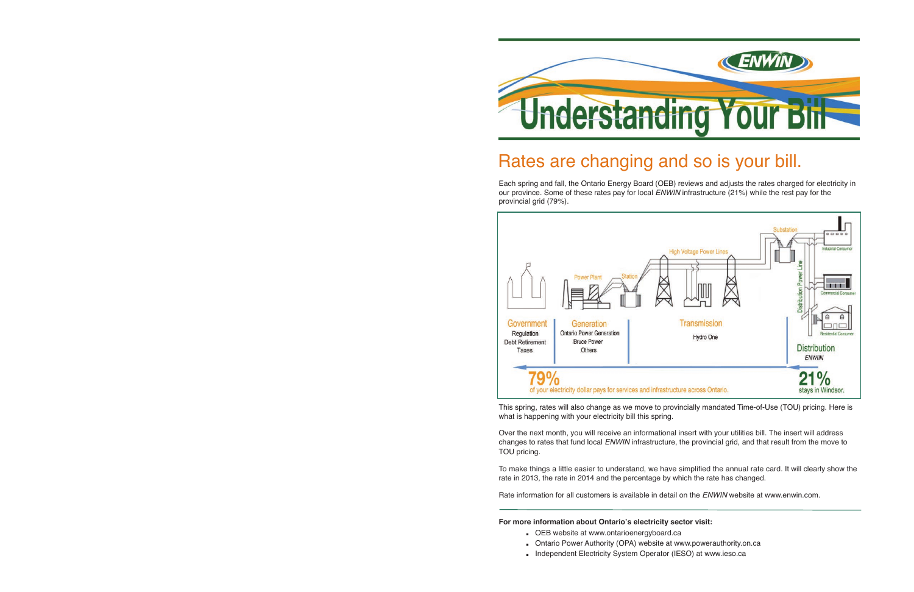

## Rates are changing and so is your bill.

 Each spring and fall, the Ontario Energy Board (OEB) reviews and adjusts the rates charged for electricity in our province. Some of these rates pay for local *ENWIN* infrastructure (21%) while the rest pay for the provincial grid (79%)



This spring, rates will also change as we move to provincially mandated Time-of-Use (TOU) pricing. Here is what is happening with your electricity bill this spring

 Over the next month, you will receive an informational insert with your utilities bill The insert will address changes to rates that fund local *ENWIN* infrastructure, the provincial grid, and that result from the move to TOU pricing

To make things a little easier to understand, we have simplified the annual rate card. It will clearly show the rate in 2013, the rate in 2014 and the percentage by which the rate has changed

Rate information for all customers is available in detail on the ENWIN website at www.enwin.com.

#### **For more information about Ontario's electricity sector visit:**

- **.** OEB website at www ontarioenergyboard ca
- **.** Ontario Power Authority (OPA) website at www powerauthority on ca
- **.** Independent Electricity System Operator (IESO) at www ieso ca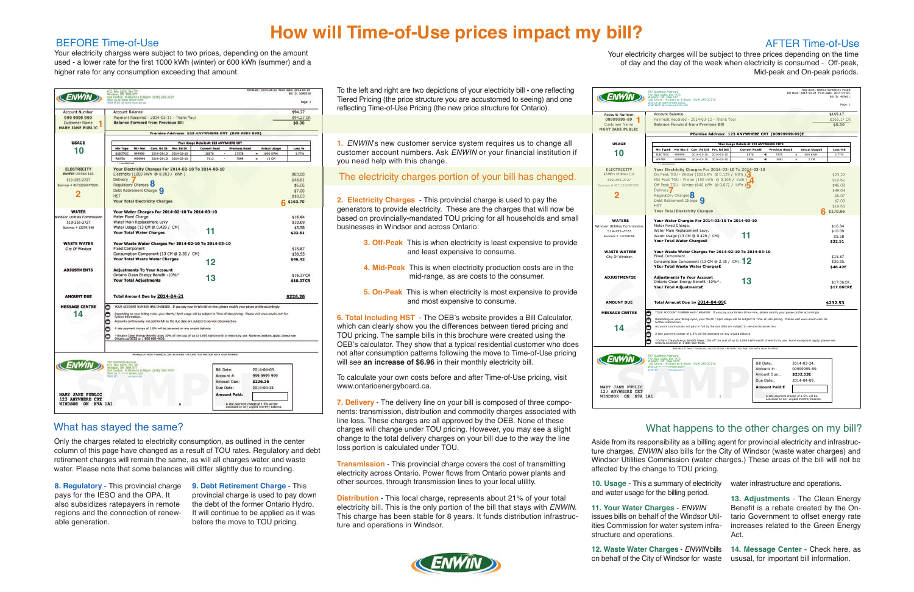To calculate your own costs before and after Time-of-Use pricing, visit www.ontarioenergyboard.ca.

 Only the charges related to electricity consumption, as outlined in the center column of this page have changed as a result of TOU rates. Regulatory and debt retirement charges will remain the same, as will all charges water and waste water. Please note that some balances will differ slightly due to rounding.

 Mid-peak and On-peak periods raes will be subject to three prices depending on the time day of the week when electricity is consumed - Off-peak,

| <b>Ouellette AvenueC</b><br>Box 1625, Stn "A"C<br>dsor, ON N9A 5T7<br>Centre: 8:00am to 5:00pm (519) 255-2727C                                                                                                                                                                                                                                                                                                                                                                                                                                                                                                                              |                                          |                                                                                                                           |                |                                                         | Rea-Bcnt1-Btch01-BcntBtch1-Psea0.<br>Bill Date: 2014-03-24 Print Date: 2014-04-04.<br>Bill ID: 465601.                                                |
|---------------------------------------------------------------------------------------------------------------------------------------------------------------------------------------------------------------------------------------------------------------------------------------------------------------------------------------------------------------------------------------------------------------------------------------------------------------------------------------------------------------------------------------------------------------------------------------------------------------------------------------------|------------------------------------------|---------------------------------------------------------------------------------------------------------------------------|----------------|---------------------------------------------------------|-------------------------------------------------------------------------------------------------------------------------------------------------------|
| us at www.enwin.comC<br>WUC at www.wuc.on.caC                                                                                                                                                                                                                                                                                                                                                                                                                                                                                                                                                                                               |                                          |                                                                                                                           |                |                                                         | Page: 1.                                                                                                                                              |
| <b>Account Balance.</b>                                                                                                                                                                                                                                                                                                                                                                                                                                                                                                                                                                                                                     |                                          |                                                                                                                           |                |                                                         | \$165.17.                                                                                                                                             |
| Payment Received - 2014-03-12 - Thank You!                                                                                                                                                                                                                                                                                                                                                                                                                                                                                                                                                                                                  |                                          |                                                                                                                           |                |                                                         | \$165.17 CR                                                                                                                                           |
| <b>Balance Forward from Previous Bill</b>                                                                                                                                                                                                                                                                                                                                                                                                                                                                                                                                                                                                   |                                          |                                                                                                                           |                |                                                         | \$0.00                                                                                                                                                |
| PEemise Address: 123 ANYWHERE CRT (00999999-99)E                                                                                                                                                                                                                                                                                                                                                                                                                                                                                                                                                                                            |                                          |                                                                                                                           |                |                                                         |                                                                                                                                                       |
| YEur Usage Details At 123 ANYWHERE CRTE                                                                                                                                                                                                                                                                                                                                                                                                                                                                                                                                                                                                     |                                          |                                                                                                                           |                |                                                         |                                                                                                                                                       |
| Mtr Nbr.E Curr. Rd DtE Prv. Rd DtE<br>Mtr TypeE<br>999999                                                                                                                                                                                                                                                                                                                                                                                                                                                                                                                                                                                   | <b>Current ReadE</b><br>- E              | <b>Previous ReadE</b>                                                                                                     | $\equiv$       | <b>Actual UsageE</b>                                    | Loss %E                                                                                                                                               |
| ELECTRIC.<br>2014-03-10.<br>2014-02-10<br>WATER.<br>W99999.<br>2014-03-10.<br>2014-02-10                                                                                                                                                                                                                                                                                                                                                                                                                                                                                                                                                    | 8578<br>5894.<br>-E                      | 7578<br>5881                                                                                                              | $\blacksquare$ | 000 KWH<br>3 CM                                         | 3.77%                                                                                                                                                 |
| Your Electricity Charges For 2014-02-10 To 2014-03-10<br>On Peak TOU - Winter (180 kWh @ 0.129 / kWh )<br>Mid Peak TOU - Winter (180 kWh @ 0.109 / kWh )<br>Off Peak TOU - Winter (640 kWh @ 0.072 / kWh )<br>Delivery<br>Regulatory Charges<br>Debt Retirement Charge Q<br><b>HST</b><br><b>Your Total Electricity Charges</b><br>Your Water Charges For 2014-02-10 To 2014-03-10<br>Meter Fixed Charge.<br>Water Main Replacement Levy.<br>Water Usage (13 CM @ 0.429 / CM).<br>Your Total Water ChargesE<br>Your Waste Water Charges For 2014-02-10 To 2014-03-10<br>Fixed Component.<br>Consumption Component (13 CM @ 2.35 / CM). $12$ |                                          |                                                                                                                           |                |                                                         | \$23.22<br>\$19.62<br>\$46.08<br>\$49.04<br>\$6.07<br>\$7.00<br>\$19.63<br>\$170.66<br>\$16.84<br>\$10.09<br>\$5.58<br>\$32.51<br>\$15.87<br>\$30.55. |
| YEur Total Waste Water ChargesE<br><b>Adjustments To Your Account</b><br>Ontario Clean Energy Benefit -10%^.<br><b>Your Total AdjustmentsE</b><br>Total Amount Due by 2014-04-09E                                                                                                                                                                                                                                                                                                                                                                                                                                                           |                                          |                                                                                                                           |                |                                                         | \$46.42E<br>\$17.06CR.<br>\$17.06CRE<br>\$232.53                                                                                                      |
| YOUR ACCOUNT NUMBER HAS CHANGED. If you pay your EnWin bill on-line, please modify your payee profile accordingly.                                                                                                                                                                                                                                                                                                                                                                                                                                                                                                                          |                                          |                                                                                                                           |                |                                                         |                                                                                                                                                       |
| Depending on your billing cycle, your March / April usage will be subject to Time-of-Use pricing. Please visit www.enwin.com for.<br>further information.<br>Accounts continuously not paid in full by the due date are subject to service disconnection.<br>A late payment charge of 1.5% will be assessed on any unpaid balance.<br>^Ontario Clean Energy Benefit takes 10% off the cost of up to 3,000 kWh/month of electricity use. Some exceptions apply, please see.<br>Ontario.ca/OCEB or 1-888-668-4636.                                                                                                                            |                                          |                                                                                                                           |                |                                                         |                                                                                                                                                       |
| PAYARLE AT MOST FINANCIAL INSTITUTIONS - RETURN THIS PORTION WITH YOUR PAYMENT.                                                                                                                                                                                                                                                                                                                                                                                                                                                                                                                                                             |                                          |                                                                                                                           |                |                                                         |                                                                                                                                                       |
| <b>Ouellette AvenueC</b><br>Diameter Avenue<br>1998 - Box 1625, Stn "A"C<br>1997 - Centre: 8:00am to 5:00pm (519) 255-2727C<br>1997 - Lease Mary Marconner<br>Lus <sup>Athrono</sup> venwin.com<br>t us $-$<br>t WI<br>ww.wuc.on.                                                                                                                                                                                                                                                                                                                                                                                                           | Bill Date:.<br>Account #:.<br>Due Date:. | Amount Due:.<br><b>Amount Paid:E</b><br>A late payment charge of 1.5% will be.<br>assessed on any unpaid monthly balance. |                | 2014-03-24.<br>00999999-99.<br>\$232.53E<br>2014-04-09. |                                                                                                                                                       |

 reflecting Time-of-Use Pricing (the new price structure for Ontario) To the left and right are two depictions of your electricity bill - one reflecting Tiered Pricing (the price structure you are accustomed to seeing) and one

## **How will Time-of-Use prices impact my bill?**

**1.** ENWIN's new customer service system requires us to change all customer account numbers. Ask *ENWIN* or your financial institution if you need help with this change

The electricity charges portion of your bill has changed

 **2. Electricity Charges** - This provincial charge is used to pay the generators to provide electricity. These are the charges that will now be based on provincially-mandated TOU pricing for all households and small businesses in Windsor and across Ontario:

- **3. Off-Peak** This is when electricity is least expensive to provide and least expensive to consume
- **4. Mid-Peak** This is when electricity production costs are in the mid-range, as are costs to the consumer
- **5. On-Peak** This is when electricity is most expensive to provide and most expensive to consume

 **6. Total Including HST** - The OEB's website provides a Bill Calculator, which can clearly show you the differences between tiered pricing and TOU pricing. The sample bills in this brochure were created using the OEB's calculator. They show that a typical residential customer who does not alter consumption patterns following the move to Time-of-Use pricing  will see **an increase of \$6.96** in their monthly electricity bill

 **7. Delivery** - The delivery line on your bill is composed of three compo- nents: transmission, distribution and commodity charges associated with line loss. These charges are all approved by the OEB. None of these charges will change under TOU pricing. However, you may see a slight change to the total delivery charges on your bill due to the way the line loss portion is calculated under TOU

 **Transmission** - This provincial charge covers the cost of transmitting electricity across Ontario. Power flows from Ontario power plants and other sources, through transmission lines to your local utility

 **Distribution** - This local charge, represents about 21% of your total electricity bill. This is the only portion of the bill that stays with ENWIN. This charge has been stable for 8 years. It funds distribution infrastruc-ture and operations in Windsor



| Your electricity cha |  |
|----------------------|--|
| of day and the       |  |

 $000$ 

 $\bullet$ 

**CENWIN** 

**Account Number** 

0099999-99

Customer Name<br>MARY JANE PUBLIC

**USAGE** 

 $10$ 

**ELECTRICITY** 

519-255-2727

 $\overline{2}$ 

**WATERE** 

sor Utilities Comm<br>519-255-2727.

Business # 12279109

**WASTE WATERE** City Of Windsor.

**ADJUSTMENTSE** 

AMOUNT DUE

**MESSAGE CENTRE** 

 $14$ 

ENWIN

MARY JANE PUBLIC 123 ANYWHERE CRT<br>WINDSOR ON N9A 1A1

Susiness # 86712



### What has stayed the same?

 Your electricity charges were subject to two prices, depending on the amount used - a lower rate for the first 1000 kWh (winter) or 600 kWh (summer) and a higher rate for any consumption exceeding that amount

 **8. Regulatory** - This provincial charge pays for the IESO and the OPA. It also subsidizes ratepayers in remote regions and the connection of renewable generation

 **9. Debt Retirement Charge** - This provincial charge is used to pay down the debt of the former Ontario Hydro It will continue to be applied as it was before the move to TOU pricing

 Aside from its responsibility as a billing agent for provincial electricity and infrastruc- ture charges, ENWIN also bills for the City of Windsor (waste water charges) and Windsor Utilities Commission (water charges ) These areas of the bill will not be affected by the change to TOU pricing

  **0. Usage** - This a summary of electricity and water usage for the billing period

 **. Your Water Charges** - ENWIN issues bills on behalf of the Windsor Util- ities Commission for water system infra-structure and operations

water infrastructure and operations

  **3. Adjustments** - The Clean Energy Benefit is a rebate created by the On- tario Government to offset energy rate increases related to the Green Energy Act

 **2. Waste Water Charges** - ENWIN bills on behalf of the City of Windsor for waste  **4. Message Center -** Check here, as ususal, for important bill information

#### BEFORE Time-of-Use

|                                                      | P.O. Box 1625, Stn "A"<br>ON                                                                                                                                                                     | Bill Date: 2014-04-03 Print Date: 2014-04-04<br>Bill ID: 1095230 |
|------------------------------------------------------|--------------------------------------------------------------------------------------------------------------------------------------------------------------------------------------------------|------------------------------------------------------------------|
| <b>ENWIN</b>                                         | Call Centre: 8:00am to 5:00pm (519) 255-2727<br>Visit us at www.enwin.com<br>Visit WUC at www.wuc.on.ca                                                                                          | Page: 1                                                          |
| <b>Account Number</b>                                | <b>Account Balance</b>                                                                                                                                                                           | \$94.27                                                          |
| 999 9999 999                                         | Payment Received - 2014-03-11 - Thank You!                                                                                                                                                       | \$94.27 CR                                                       |
| <b>Customer Name</b>                                 | <b>Balance Forward from Previous Bill</b>                                                                                                                                                        | \$0.00                                                           |
| <b>MARY JANE PUBLIC</b>                              |                                                                                                                                                                                                  |                                                                  |
|                                                      | Premise Address: 123 ANYWHERE CRT (999 9999 999)                                                                                                                                                 |                                                                  |
| <b>USAGE</b>                                         | Your Usage Details At 123 ANYWHERE CRT                                                                                                                                                           |                                                                  |
| 10                                                   | Mtr Type<br>Mtr Nbr.<br>Curr, Rd Dt<br>Prv. Rd Dt<br><b>Current Read</b><br><b>Previous Read</b><br><b>Actual Usage</b><br>ε                                                                     | <b>Loss %</b>                                                    |
|                                                      | 2014-02-10<br>18578<br>1000 KWH<br><b>ELECTRIC</b><br>999999<br>2014-03-10<br>17578<br>$\equiv$<br><b>WATER</b><br>W99999<br>2014-03-10<br>2014-02-10<br>7112<br>7099<br>13 CM<br>$\blacksquare$ | 3.77%                                                            |
|                                                      | * = cancelled rea                                                                                                                                                                                |                                                                  |
| <b>ELECTRICITY</b>                                   | Your Electricity Charges For 2014-02-10 To 2014-03-10                                                                                                                                            |                                                                  |
| <b>ENWIN Utilities Ltd.</b>                          | Electricity (1000 kWh @ 0.083 / kWh )                                                                                                                                                            | \$83.00                                                          |
| 519-255-2727                                         | Delivery                                                                                                                                                                                         | \$48.81                                                          |
| Business # 867120586RT0001                           | Regulatory Charges                                                                                                                                                                               | \$6.06                                                           |
|                                                      | Debt Retirement Charge                                                                                                                                                                           | \$7.00                                                           |
|                                                      | <b>HST</b>                                                                                                                                                                                       | \$18.83                                                          |
|                                                      | <b>Your Total Electricity Charges</b>                                                                                                                                                            | \$163.70                                                         |
| <b>WATER</b>                                         | Your Water Charges For 2014-02-10 To 2014-03-10                                                                                                                                                  |                                                                  |
| <b>Windsor Utilities Commission</b>                  | Meter Fixed Charge                                                                                                                                                                               | \$16.84                                                          |
| 519-255-2727                                         | Water Main Replacement Levy                                                                                                                                                                      | \$10.09                                                          |
| Business # 122791098                                 | Water Usage (13 CM @ 0.429 / CM)                                                                                                                                                                 | \$5.58                                                           |
|                                                      | 11<br><b>Your Total Water Charges</b>                                                                                                                                                            | \$32.51                                                          |
| <b>WASTE WATER</b>                                   | Your Waste Water Charges For 2014-02-10 To 2014-03-10                                                                                                                                            |                                                                  |
| City Of Windsor                                      | <b>Fixed Component</b>                                                                                                                                                                           | \$15.87                                                          |
|                                                      | Consumption Component (13 CM @ 2.35 / CM)                                                                                                                                                        | \$30.55                                                          |
|                                                      | <b>Your Total Waste Water Charges</b>                                                                                                                                                            | \$46.42                                                          |
|                                                      | 12                                                                                                                                                                                               |                                                                  |
| <b>ADJUSTMENTS</b>                                   | <b>Adjustments To Your Account</b>                                                                                                                                                               |                                                                  |
|                                                      | Ontario Clean Energy Benefit -10%^<br>13                                                                                                                                                         | \$16.37 CR                                                       |
|                                                      | <b>Your Total Adjustments</b>                                                                                                                                                                    | \$16.37CR                                                        |
|                                                      |                                                                                                                                                                                                  |                                                                  |
| <b>AMOUNT DUE</b>                                    | Total Amount Due by 2014-04-21                                                                                                                                                                   | \$226.26                                                         |
| <b>MESSAGE CENTRE</b>                                | YOUR ACCOUNT NUMBER HAS CHANGED. If you pay your EnWin bill on-line, please modify your payee profile accordingly.<br>с                                                                          |                                                                  |
| 14                                                   | Depending on your billing cycle, your March / April usage will be subject to Time-of-Use pricing. Please visit www.enwin.com for<br>further information.<br>c                                    |                                                                  |
|                                                      | г<br>Accounts continuously not paid in full by the due date are subject to service disconnection.                                                                                                |                                                                  |
|                                                      |                                                                                                                                                                                                  |                                                                  |
|                                                      | A late payment charge of 1.5% will be assessed on any unpaid balance.<br>с                                                                                                                       |                                                                  |
|                                                      | ^Ontario Clean Energy Benefit takes 10% off the cost of up to 3,000 kWh/month of electricity use. Some exceptions apply, please see<br>Ontario.ca/OCEB or 1-888-668-4636.<br>г                   |                                                                  |
|                                                      |                                                                                                                                                                                                  |                                                                  |
|                                                      |                                                                                                                                                                                                  |                                                                  |
|                                                      | PAYABLE AT MOST FINANCIAL INSTITUTIONS - RETURN THIS PORTION WITH YOUR PAYMENT                                                                                                                   |                                                                  |
|                                                      | 787 Quellette Avenue<br>P.O. Box 1625, Stn "A"<br>Windsor, ON N9A 5T7                                                                                                                            |                                                                  |
|                                                      | <b>Bill Date:</b><br>2014-04-03<br>Call Centre: 8:00am to 5:00pm (519) 255-2727                                                                                                                  |                                                                  |
|                                                      | Visit us<br>.enwin.com<br>Account #:<br>999 9999 999<br>Visit W <sup>*</sup><br>iw.wuc.on.                                                                                                       |                                                                  |
|                                                      | Amount Due:<br>\$226.26                                                                                                                                                                          |                                                                  |
|                                                      |                                                                                                                                                                                                  |                                                                  |
|                                                      | Due Date:<br>2014-04-21                                                                                                                                                                          |                                                                  |
| <b>MARY JANE PUBLIC</b>                              | <b>Amount Paid:</b>                                                                                                                                                                              |                                                                  |
|                                                      |                                                                                                                                                                                                  |                                                                  |
|                                                      |                                                                                                                                                                                                  |                                                                  |
| <b>123 ANYWHERE CRT</b><br><b>WINDSOR ON N9A 1A1</b> | A late payment charge of 1.5% will be<br>assessed on any unpaid monthly balance.                                                                                                                 |                                                                  |

#### AFTER Time-of-Use

### What happens to the other charges on my bill?